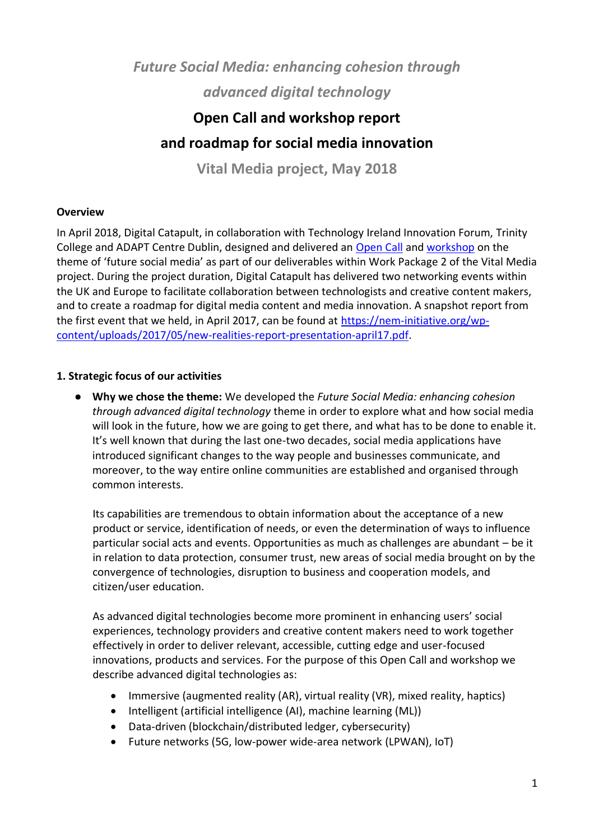*Future Social Media: enhancing cohesion through advanced digital technology*

# **Open Call and workshop report**

# **and roadmap for social media innovation**

**Vital Media project, May 2018**

#### **Overview**

In April 2018, Digital Catapult, in collaboration with Technology Ireland Innovation Forum, Trinity College and ADAPT Centre Dublin, designed and delivered an [Open Call](https://www.digitalcatapultcentre.org.uk/open-calls/future-social-media-enhancing-cohesion-through-advanced-digital-technology/) and [workshop](https://www.eventbrite.co.uk/e/future-social-media-enhancing-cohesion-through-advanced-digital-technology-registration-44410386662) on the theme of 'future social media' as part of our deliverables within Work Package 2 of the Vital Media project. During the project duration, Digital Catapult has delivered two networking events within the UK and Europe to facilitate collaboration between technologists and creative content makers, and to create a roadmap for digital media content and media innovation. A snapshot report from the first event that we held, in April 2017, can be found at [https://nem-initiative.org/wp](https://nem-initiative.org/wp-content/uploads/2017/05/new-realities-report-presentation-april17.pdf)[content/uploads/2017/05/new-realities-report-presentation-april17.pdf.](https://nem-initiative.org/wp-content/uploads/2017/05/new-realities-report-presentation-april17.pdf)

#### **1. Strategic focus of our activities**

● **Why we chose the theme:** We developed the *Future Social Media: enhancing cohesion through advanced digital technology* theme in order to explore what and how social media will look in the future, how we are going to get there, and what has to be done to enable it. It's well known that during the last one-two decades, social media applications have introduced significant changes to the way people and businesses communicate, and moreover, to the way entire online communities are established and organised through common interests.

Its capabilities are tremendous to obtain information about the acceptance of a new product or service, identification of needs, or even the determination of ways to influence particular social acts and events. Opportunities as much as challenges are abundant – be it in relation to data protection, consumer trust, new areas of social media brought on by the convergence of technologies, disruption to business and cooperation models, and citizen/user education.

As advanced digital technologies become more prominent in enhancing users' social experiences, technology providers and creative content makers need to work together effectively in order to deliver relevant, accessible, cutting edge and user-focused innovations, products and services. For the purpose of this Open Call and workshop we describe advanced digital technologies as:

- Immersive (augmented reality (AR), virtual reality (VR), mixed reality, haptics)
- Intelligent (artificial intelligence (AI), machine learning (ML))
- Data-driven (blockchain/distributed ledger, cybersecurity)
- Future networks (5G, low-power wide-area network (LPWAN), IoT)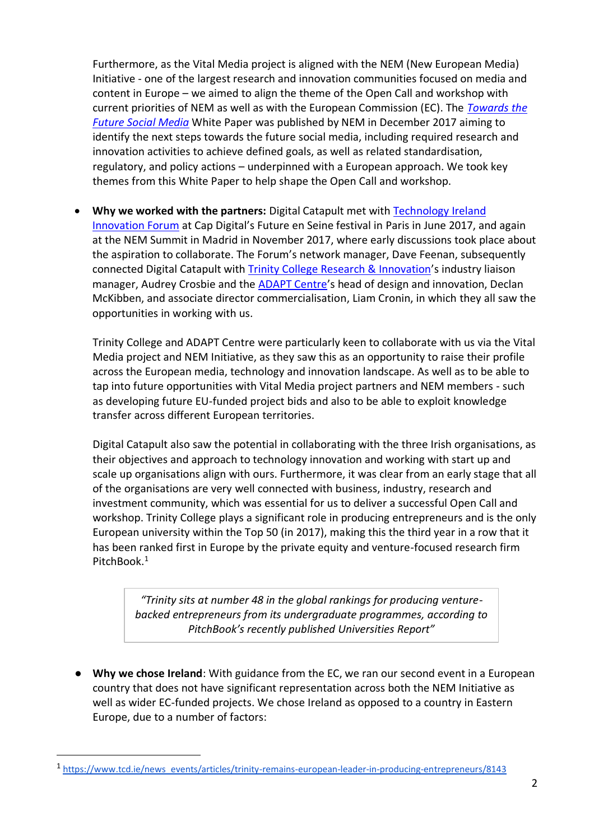Furthermore, as the Vital Media project is aligned with the NEM (New European Media) Initiative - one of the largest research and innovation communities focused on media and content in Europe – we aimed to align the theme of the Open Call and workshop with current priorities of NEM as well as with the European Commission (EC). The *[Towards the](https://nem-initiative.org/wp-content/uploads/2018/01/towardthefuturesocialmedia-nem-whitepaper-ver1-0.pdf)  [Future Social Media](https://nem-initiative.org/wp-content/uploads/2018/01/towardthefuturesocialmedia-nem-whitepaper-ver1-0.pdf)* White Paper was published by NEM in December 2017 aiming to identify the next steps towards the future social media, including required research and innovation activities to achieve defined goals, as well as related standardisation, regulatory, and policy actions – underpinned with a European approach. We took key themes from this White Paper to help shape the Open Call and workshop.

• Why we worked with the partners: Digital Catapult met with **Technology Ireland** [Innovation Forum](http://www.isin.ie/) at Cap Digital's Future en Seine festival in Paris in June 2017, and again at the NEM Summit in Madrid in November 2017, where early discussions took place about the aspiration to collaborate. The Forum's network manager, Dave Feenan, subsequently connected Digital Catapult with **Trinity College Research & Innovation's** industry liaison manager, Audrey Crosbie and the [ADAPT Centre](https://www.adaptcentre.ie/)'s head of design and innovation, Declan McKibben, and associate director commercialisation, Liam Cronin, in which they all saw the opportunities in working with us.

Trinity College and ADAPT Centre were particularly keen to collaborate with us via the Vital Media project and NEM Initiative, as they saw this as an opportunity to raise their profile across the European media, technology and innovation landscape. As well as to be able to tap into future opportunities with Vital Media project partners and NEM members - such as developing future EU-funded project bids and also to be able to exploit knowledge transfer across different European territories.

Digital Catapult also saw the potential in collaborating with the three Irish organisations, as their objectives and approach to technology innovation and working with start up and scale up organisations align with ours. Furthermore, it was clear from an early stage that all of the organisations are very well connected with business, industry, research and investment community, which was essential for us to deliver a successful Open Call and workshop. Trinity College plays a significant role in producing entrepreneurs and is the only European university within the Top 50 (in 2017), making this the third year in a row that it has been ranked first in Europe by the private equity and venture-focused research firm PitchBook.<sup>1</sup>

*"Trinity sits at number 48 in the global rankings for producing venturebacked entrepreneurs from its undergraduate programmes, according to PitchBook's recently published Universities Report"*

● **Why we chose Ireland**: With guidance from the EC, we ran our second event in a European country that does not have significant representation across both the NEM Initiative as well as wider EC-funded projects. We chose Ireland as opposed to a country in Eastern Europe, due to a number of factors:

 $\overline{a}$ 

<sup>&</sup>lt;sup>1</sup> [https://www.tcd.ie/news\\_events/articles/trinity-remains-european-leader-in-producing-entrepreneurs/8143](https://www.tcd.ie/news_events/articles/trinity-remains-european-leader-in-producing-entrepreneurs/8143)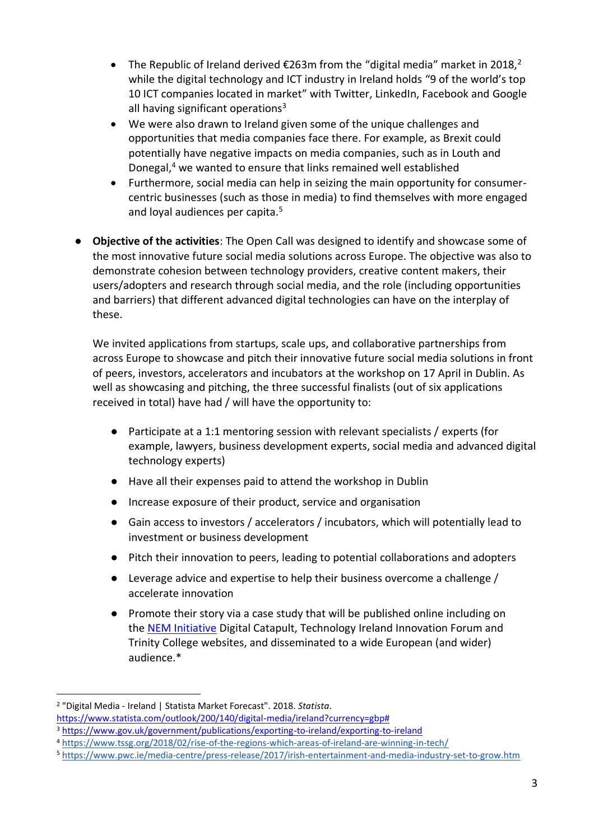- The Republic of Ireland derived  $\epsilon$ 263m from the "digital media" market in 2018,<sup>2</sup> while the digital technology and ICT industry in Ireland holds "9 of the world's top 10 ICT companies located in market" with Twitter, LinkedIn, Facebook and Google all having significant operations<sup>3</sup>
- We were also drawn to Ireland given some of the unique challenges and opportunities that media companies face there. For example, as Brexit could potentially have negative impacts on media companies, such as in Louth and Donegal,<sup>4</sup> we wanted to ensure that links remained well established
- Furthermore, social media can help in seizing the main opportunity for consumercentric businesses (such as those in media) to find themselves with more engaged and loyal audiences per capita.<sup>5</sup>
- **Objective of the activities**: The Open Call was designed to identify and showcase some of the most innovative future social media solutions across Europe. The objective was also to demonstrate cohesion between technology providers, creative content makers, their users/adopters and research through social media, and the role (including opportunities and barriers) that different advanced digital technologies can have on the interplay of these.

We invited applications from startups, scale ups, and collaborative partnerships from across Europe to showcase and pitch their innovative future social media solutions in front of peers, investors, accelerators and incubators at the workshop on 17 April in Dublin. As well as showcasing and pitching, the three successful finalists (out of six applications received in total) have had / will have the opportunity to:

- Participate at a 1:1 mentoring session with relevant specialists / experts (for example, lawyers, business development experts, social media and advanced digital technology experts)
- Have all their expenses paid to attend the workshop in Dublin
- Increase exposure of their product, service and organisation
- Gain access to investors / accelerators / incubators, which will potentially lead to investment or business development
- Pitch their innovation to peers, leading to potential collaborations and adopters
- Leverage advice and expertise to help their business overcome a challenge / accelerate innovation
- Promote their story via a case study that will be published online including on the [NEM Initiative](https://nem-initiative.org/) Digital Catapult, Technology Ireland Innovation Forum and Trinity College websites, and disseminated to a wide European (and wider) audience.\*

l

<sup>2</sup> "Digital Media - Ireland | Statista Market Forecast". 2018. *Statista*.

[https://www.statista.com/outlook/200/140/digital-media/ireland?currency=gbp#](https://www.statista.com/outlook/200/140/digital-media/ireland?currency=gbp)

<sup>3</sup> <https://www.gov.uk/government/publications/exporting-to-ireland/exporting-to-ireland>

<sup>4</sup> <https://www.tssg.org/2018/02/rise-of-the-regions-which-areas-of-ireland-are-winning-in-tech/>

<sup>5</sup> [https://www.pwc.ie/media-centre/press-release/2017/irish-entertainment-and-media-industry-set-to-grow.htm](https://www.pwc.ie/media-centre/press-release/2017/irish-entertainment-and-media-industry-set-to-grow.html)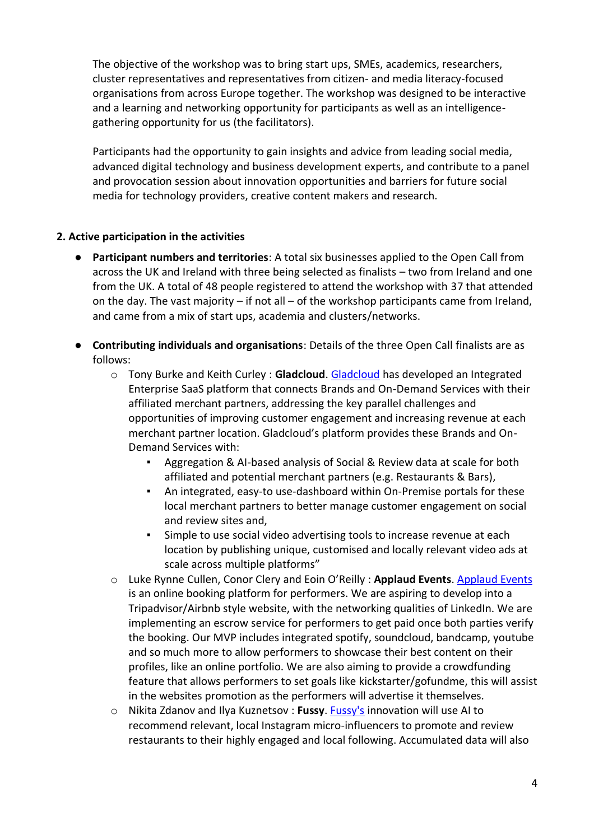The objective of the workshop was to bring start ups, SMEs, academics, researchers, cluster representatives and representatives from citizen- and media literacy-focused organisations from across Europe together. The workshop was designed to be interactive and a learning and networking opportunity for participants as well as an intelligencegathering opportunity for us (the facilitators).

Participants had the opportunity to gain insights and advice from leading social media, advanced digital technology and business development experts, and contribute to a panel and provocation session about innovation opportunities and barriers for future social media for technology providers, creative content makers and research.

#### **2. Active participation in the activities**

- **Participant numbers and territories:** A total six businesses applied to the Open Call from across the UK and Ireland with three being selected as finalists – two from Ireland and one from the UK. A total of 48 people registered to attend the workshop with 37 that attended on the day. The vast majority – if not all – of the workshop participants came from Ireland, and came from a mix of start ups, academia and clusters/networks.
- **Contributing individuals and organisations**: Details of the three Open Call finalists are as follows:
	- o Tony Burke and Keith Curley : **Gladcloud**. [Gladcloud](http://gladcloud.mobi/) has developed an Integrated Enterprise SaaS platform that connects Brands and On-Demand Services with their affiliated merchant partners, addressing the key parallel challenges and opportunities of improving customer engagement and increasing revenue at each merchant partner location. Gladcloud's platform provides these Brands and On-Demand Services with:
		- Aggregation & AI-based analysis of Social & Review data at scale for both affiliated and potential merchant partners (e.g. Restaurants & Bars),
		- An integrated, easy-to use-dashboard within On-Premise portals for these local merchant partners to better manage customer engagement on social and review sites and,
		- Simple to use social video advertising tools to increase revenue at each location by publishing unique, customised and locally relevant video ads at scale across multiple platforms"
	- o Luke Rynne Cullen, Conor Clery and Eoin O'Reilly : **Applaud Events**. [Applaud Events](https://applaudevents.com/) is an online booking platform for performers. We are aspiring to develop into a Tripadvisor/Airbnb style website, with the networking qualities of LinkedIn. We are implementing an escrow service for performers to get paid once both parties verify the booking. Our MVP includes integrated spotify, soundcloud, bandcamp, youtube and so much more to allow performers to showcase their best content on their profiles, like an online portfolio. We are also aiming to provide a crowdfunding feature that allows performers to set goals like kickstarter/gofundme, this will assist in the websites promotion as the performers will advertise it themselves.
	- o Nikita Zdanov and Ilya Kuznetsov : **Fussy**. [Fussy's](http://fussy.ai/) innovation will use AI to recommend relevant, local Instagram micro-influencers to promote and review restaurants to their highly engaged and local following. Accumulated data will also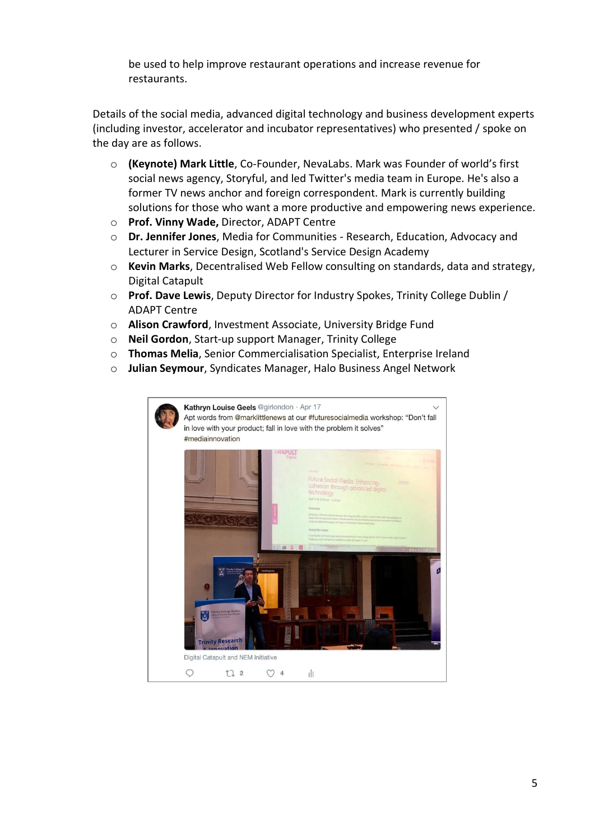be used to help improve restaurant operations and increase revenue for restaurants.

Details of the social media, advanced digital technology and business development experts (including investor, accelerator and incubator representatives) who presented / spoke on the day are as follows.

- o **(Keynote) Mark Little**, Co-Founder, NevaLabs. Mark was Founder of world's first social news agency, Storyful, and led Twitter's media team in Europe. He's also a former TV news anchor and foreign correspondent. Mark is currently building solutions for those who want a more productive and empowering news experience.
- o **Prof. Vinny Wade,** Director, ADAPT Centre
- o **Dr. Jennifer Jones**, Media for Communities Research, Education, Advocacy and Lecturer in Service Design, Scotland's Service Design Academy
- o **Kevin Marks**, Decentralised Web Fellow consulting on standards, data and strategy, Digital Catapult
- o **Prof. Dave Lewis**, Deputy Director for Industry Spokes, Trinity College Dublin / ADAPT Centre
- o **Alison Crawford**, Investment Associate, University Bridge Fund
- o **Neil Gordon**, Start-up support Manager, Trinity College
- o **Thomas Melia**, Senior Commercialisation Specialist, Enterprise Ireland
- o **Julian Seymour**, Syndicates Manager, Halo Business Angel Network

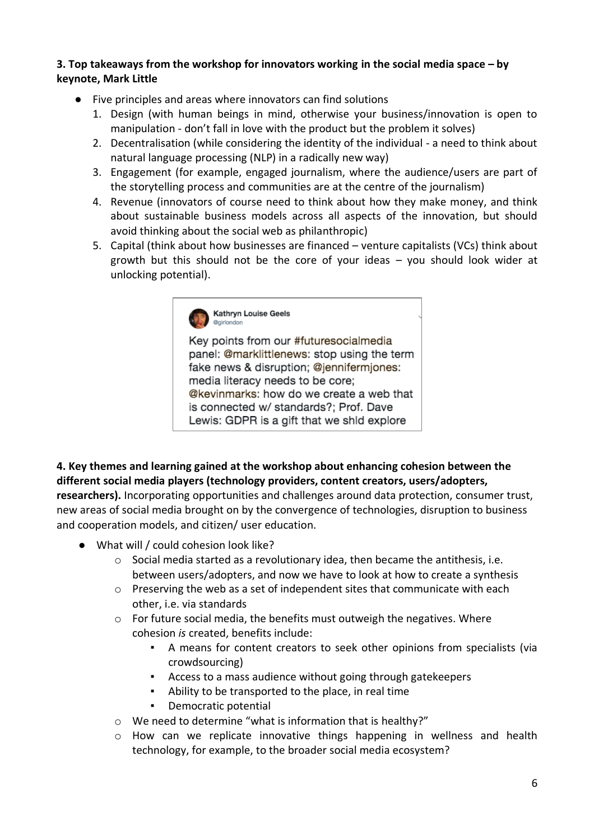### **3. Top takeaways from the workshop for innovators working in the social media space – by keynote, Mark Little**

- Five principles and areas where innovators can find solutions
	- 1. Design (with human beings in mind, otherwise your business/innovation is open to manipulation - don't fall in love with the product but the problem it solves)
	- 2. Decentralisation (while considering the identity of the individual a need to think about natural language processing (NLP) in a radically new way)
	- 3. Engagement (for example, engaged journalism, where the audience/users are part of the storytelling process and communities are at the centre of the journalism)
	- 4. Revenue (innovators of course need to think about how they make money, and think about sustainable business models across all aspects of the innovation, but should avoid thinking about the social web as philanthropic)
	- 5. Capital (think about how businesses are financed venture capitalists (VCs) think about growth but this should not be the core of your ideas – you should look wider at unlocking potential).



Key points from our #futuresocialmedia panel: @marklittlenews: stop using the term fake news & disruption; @jennifermiones: media literacy needs to be core; @kevinmarks: how do we create a web that is connected w/ standards?; Prof. Dave Lewis: GDPR is a gift that we shid explore

**4. Key themes and learning gained at the workshop about enhancing cohesion between the different social media players (technology providers, content creators, users/adopters, researchers).** Incorporating opportunities and challenges around data protection, consumer trust, new areas of social media brought on by the convergence of technologies, disruption to business and cooperation models, and citizen/ user education.

- What will / could cohesion look like?
	- $\circ$  Social media started as a revolutionary idea, then became the antithesis, i.e. between users/adopters, and now we have to look at how to create a synthesis
	- o Preserving the web as a set of independent sites that communicate with each other, i.e. via standards
	- $\circ$  For future social media, the benefits must outweigh the negatives. Where cohesion *is* created, benefits include:
		- A means for content creators to seek other opinions from specialists (via crowdsourcing)
		- Access to a mass audience without going through gatekeepers
		- Ability to be transported to the place, in real time
		- Democratic potential
	- o We need to determine "what is information that is healthy?"
	- $\circ$  How can we replicate innovative things happening in wellness and health technology, for example, to the broader social media ecosystem?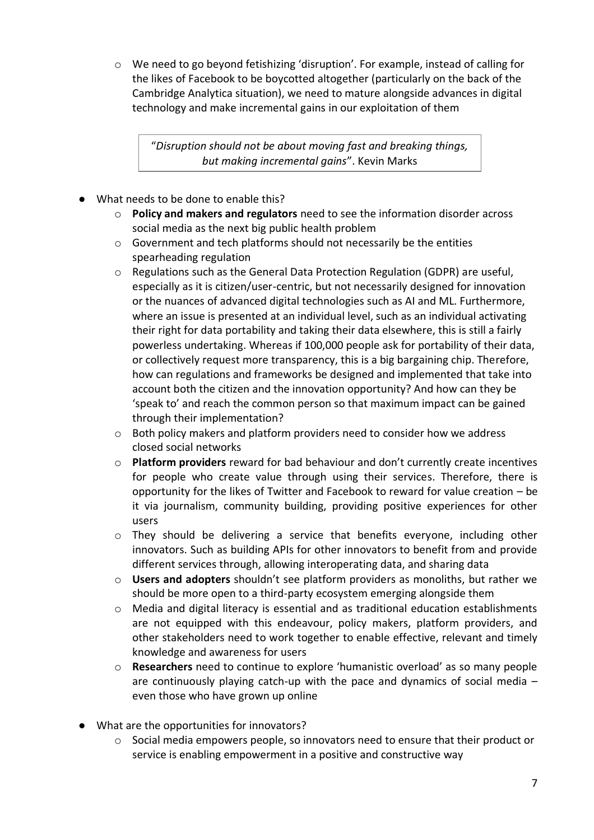$\circ$  We need to go beyond fetishizing 'disruption'. For example, instead of calling for the likes of Facebook to be boycotted altogether (particularly on the back of the Cambridge Analytica situation), we need to mature alongside advances in digital technology and make incremental gains in our exploitation of them

"*Disruption should not be about moving fast and breaking things, but making incremental gains*". Kevin Marks

- What needs to be done to enable this?
	- o **Policy and makers and regulators** need to see the information disorder across social media as the next big public health problem
	- o Government and tech platforms should not necessarily be the entities spearheading regulation
	- o Regulations such as the General Data Protection Regulation (GDPR) are useful, especially as it is citizen/user-centric, but not necessarily designed for innovation or the nuances of advanced digital technologies such as AI and ML. Furthermore, where an issue is presented at an individual level, such as an individual activating their right for data portability and taking their data elsewhere, this is still a fairly powerless undertaking. Whereas if 100,000 people ask for portability of their data, or collectively request more transparency, this is a big bargaining chip. Therefore, how can regulations and frameworks be designed and implemented that take into account both the citizen and the innovation opportunity? And how can they be 'speak to' and reach the common person so that maximum impact can be gained through their implementation?
	- $\circ$  Both policy makers and platform providers need to consider how we address closed social networks
	- o **Platform providers** reward for bad behaviour and don't currently create incentives for people who create value through using their services. Therefore, there is opportunity for the likes of Twitter and Facebook to reward for value creation – be it via journalism, community building, providing positive experiences for other users
	- o They should be delivering a service that benefits everyone, including other innovators. Such as building APIs for other innovators to benefit from and provide different services through, allowing interoperating data, and sharing data
	- o **Users and adopters** shouldn't see platform providers as monoliths, but rather we should be more open to a third-party ecosystem emerging alongside them
	- $\circ$  Media and digital literacy is essential and as traditional education establishments are not equipped with this endeavour, policy makers, platform providers, and other stakeholders need to work together to enable effective, relevant and timely knowledge and awareness for users
	- o **Researchers** need to continue to explore 'humanistic overload' as so many people are continuously playing catch-up with the pace and dynamics of social media – even those who have grown up online
- What are the opportunities for innovators?
	- $\circ$  Social media empowers people, so innovators need to ensure that their product or service is enabling empowerment in a positive and constructive way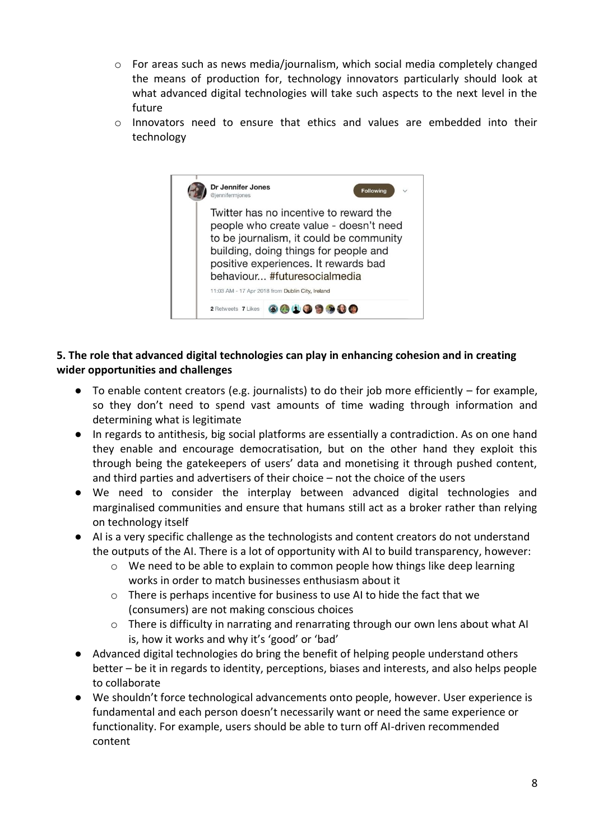- $\circ$  For areas such as news media/journalism, which social media completely changed the means of production for, technology innovators particularly should look at what advanced digital technologies will take such aspects to the next level in the future
- $\circ$  Innovators need to ensure that ethics and values are embedded into their technology



### **5. The role that advanced digital technologies can play in enhancing cohesion and in creating wider opportunities and challenges**

- To enable content creators (e.g. journalists) to do their job more efficiently for example, so they don't need to spend vast amounts of time wading through information and determining what is legitimate
- In regards to antithesis, big social platforms are essentially a contradiction. As on one hand they enable and encourage democratisation, but on the other hand they exploit this through being the gatekeepers of users' data and monetising it through pushed content, and third parties and advertisers of their choice – not the choice of the users
- We need to consider the interplay between advanced digital technologies and marginalised communities and ensure that humans still act as a broker rather than relying on technology itself
- AI is a very specific challenge as the technologists and content creators do not understand the outputs of the AI. There is a lot of opportunity with AI to build transparency, however:
	- o We need to be able to explain to common people how things like deep learning works in order to match businesses enthusiasm about it
	- $\circ$  There is perhaps incentive for business to use AI to hide the fact that we (consumers) are not making conscious choices
	- $\circ$  There is difficulty in narrating and renarrating through our own lens about what AI is, how it works and why it's 'good' or 'bad'
- Advanced digital technologies do bring the benefit of helping people understand others better – be it in regards to identity, perceptions, biases and interests, and also helps people to collaborate
- We shouldn't force technological advancements onto people, however. User experience is fundamental and each person doesn't necessarily want or need the same experience or functionality. For example, users should be able to turn off AI-driven recommended content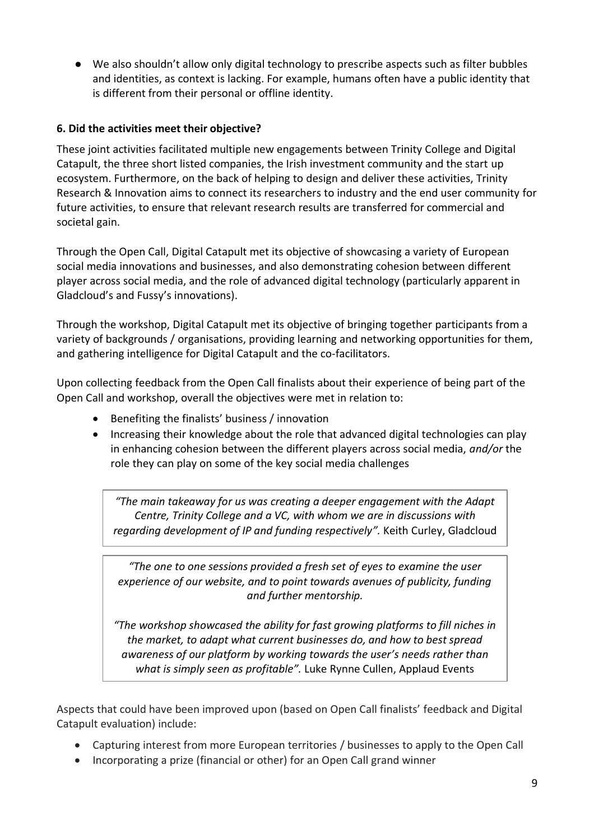● We also shouldn't allow only digital technology to prescribe aspects such as filter bubbles and identities, as context is lacking. For example, humans often have a public identity that is different from their personal or offline identity.

## **6. Did the activities meet their objective?**

These joint activities facilitated multiple new engagements between Trinity College and Digital Catapult, the three short listed companies, the Irish investment community and the start up ecosystem. Furthermore, on the back of helping to design and deliver these activities, Trinity Research & Innovation aims to connect its researchers to industry and the end user community for future activities, to ensure that relevant research results are transferred for commercial and societal gain.

Through the Open Call, Digital Catapult met its objective of showcasing a variety of European social media innovations and businesses, and also demonstrating cohesion between different player across social media, and the role of advanced digital technology (particularly apparent in Gladcloud's and Fussy's innovations).

Through the workshop, Digital Catapult met its objective of bringing together participants from a variety of backgrounds / organisations, providing learning and networking opportunities for them, and gathering intelligence for Digital Catapult and the co-facilitators.

Upon collecting feedback from the Open Call finalists about their experience of being part of the Open Call and workshop, overall the objectives were met in relation to:

- Benefiting the finalists' business / innovation
- Increasing their knowledge about the role that advanced digital technologies can play in enhancing cohesion between the different players across social media, *and/or* the role they can play on some of the key social media challenges

*"The main takeaway for us was creating a deeper engagement with the Adapt Centre, Trinity College and a VC, with whom we are in discussions with regarding development of IP and funding respectively".* Keith Curley, Gladcloud

*"The one to one sessions provided a fresh set of eyes to examine the user experience of our website, and to point towards avenues of publicity, funding and further mentorship.*

*"The workshop showcased the ability for fast growing platforms to fill niches in the market, to adapt what current businesses do, and how to best spread awareness of our platform by working towards the user's needs rather than what is simply seen as profitable".* Luke Rynne Cullen, Applaud Events

Aspects that could have been improved upon (based on Open Call finalists' feedback and Digital Catapult evaluation) include:

- Capturing interest from more European territories / businesses to apply to the Open Call
- Incorporating a prize (financial or other) for an Open Call grand winner